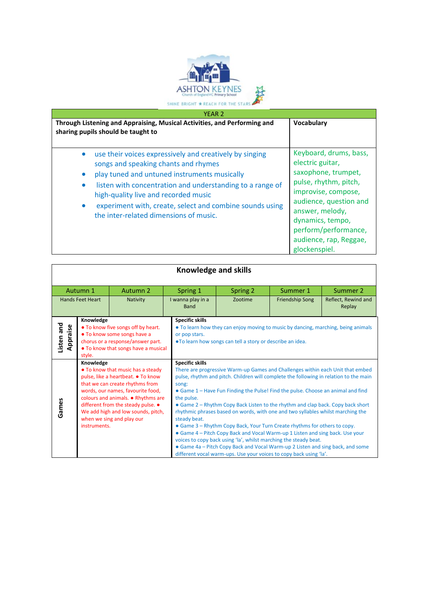

| <b>YEAR 2</b><br>Through Listening and Appraising, Musical Activities, and Performing and<br>sharing pupils should be taught to                                                                                                                                                                                                                            | Vocabulary                                                                                                                                                                                                                                            |
|------------------------------------------------------------------------------------------------------------------------------------------------------------------------------------------------------------------------------------------------------------------------------------------------------------------------------------------------------------|-------------------------------------------------------------------------------------------------------------------------------------------------------------------------------------------------------------------------------------------------------|
| use their voices expressively and creatively by singing<br>songs and speaking chants and rhymes<br>play tuned and untuned instruments musically<br>listen with concentration and understanding to a range of<br>high-quality live and recorded music<br>experiment with, create, select and combine sounds using<br>the inter-related dimensions of music. | Keyboard, drums, bass,<br>electric guitar,<br>saxophone, trumpet,<br>pulse, rhythm, pitch,<br>improvise, compose,<br>audience, question and<br>answer, melody,<br>dynamics, tempo,<br>perform/performance,<br>audience, rap, Reggae,<br>glockenspiel. |

| <b>Knowledge and skills</b>         |                           |                                                                                                                                                                                                                                                                                                |                                                               |                                                                                                                                                                                                                                                                                                                                                                                                                                                                                                                                                                                                                                                                                                                                                                                                                             |                               |  |  |
|-------------------------------------|---------------------------|------------------------------------------------------------------------------------------------------------------------------------------------------------------------------------------------------------------------------------------------------------------------------------------------|---------------------------------------------------------------|-----------------------------------------------------------------------------------------------------------------------------------------------------------------------------------------------------------------------------------------------------------------------------------------------------------------------------------------------------------------------------------------------------------------------------------------------------------------------------------------------------------------------------------------------------------------------------------------------------------------------------------------------------------------------------------------------------------------------------------------------------------------------------------------------------------------------------|-------------------------------|--|--|
| Autumn 2<br>Autumn 1                |                           | Spring 1                                                                                                                                                                                                                                                                                       | Spring 2                                                      | Summer 1                                                                                                                                                                                                                                                                                                                                                                                                                                                                                                                                                                                                                                                                                                                                                                                                                    | Summer 2                      |  |  |
| <b>Hands Feet Heart</b><br>Nativity |                           | I wanna play in a<br><b>Band</b>                                                                                                                                                                                                                                                               | Zootime                                                       | <b>Friendship Song</b>                                                                                                                                                                                                                                                                                                                                                                                                                                                                                                                                                                                                                                                                                                                                                                                                      | Reflect, Rewind and<br>Replay |  |  |
| Listen and<br>Appraise              | Knowledge<br>style.       | • To know five songs off by heart.<br>. To know some songs have a<br>chorus or a response/answer part.<br>• To know that songs have a musical                                                                                                                                                  | <b>Specific skills</b><br>or pop stars.                       | • To learn how they can enjoy moving to music by dancing, marching, being animals<br>. To learn how songs can tell a story or describe an idea.                                                                                                                                                                                                                                                                                                                                                                                                                                                                                                                                                                                                                                                                             |                               |  |  |
| Games                               | Knowledge<br>instruments. | • To know that music has a steady<br>pulse, like a heartbeat. • To know<br>that we can create rhythms from<br>words, our names, favourite food,<br>colours and animals. • Rhythms are<br>different from the steady pulse. •<br>We add high and low sounds, pitch,<br>when we sing and play our | <b>Specific skills</b><br>song:<br>the pulse.<br>steady beat. | There are progressive Warm-up Games and Challenges within each Unit that embed<br>pulse, rhythm and pitch. Children will complete the following in relation to the main<br>• Game 1 – Have Fun Finding the Pulse! Find the pulse. Choose an animal and find<br>• Game 2 – Rhythm Copy Back Listen to the rhythm and clap back. Copy back short<br>rhythmic phrases based on words, with one and two syllables whilst marching the<br>• Game 3 – Rhythm Copy Back, Your Turn Create rhythms for others to copy.<br>• Game 4 – Pitch Copy Back and Vocal Warm-up 1 Listen and sing back. Use your<br>voices to copy back using 'la', whilst marching the steady beat.<br>• Game 4a – Pitch Copy Back and Vocal Warm-up 2 Listen and sing back, and some<br>different vocal warm-ups. Use your voices to copy back using 'la'. |                               |  |  |